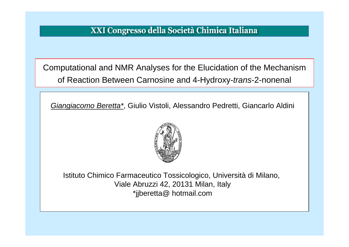#### XXI Congresso della Società Chimica Italiana

Computational and NMR Analyses for the Elucidation of the Mechanism of Reaction Between Carnosine and 4-Hydroxy-trans-2-nonenal

Giangiacomo Beretta\*, Giulio Vistoli, Alessandro Pedretti, Giancarlo Aldini



Istituto Chimico Farmaceutico Tossicologico, Università di Milano, Viale Abruzzi 42, 20131 Milan, Italy\*jjberetta@ hotmail.com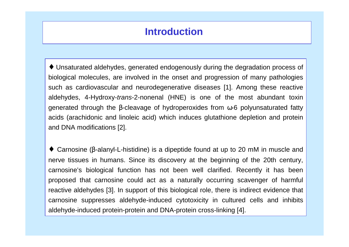# **Introduction**

♦ Unsaturated aldehydes, generated endogenously during the degradation process of biological molecules, are involved in the onset and progression of many pathologies such as cardiovascular and neurodegenerative diseases [1]. Among these reactive aldehydes, 4-Hydroxy-trans-2-nonenal (HNE) is one of the most abundant toxin generated through the β-cleavage of hydroperoxides from ω-6 polyunsaturated fatty acids (arachidonic and linoleic acid) which induces glutathione depletion and protein and DNA modifications [2].

♦ Carnosine (β-alanyl-L-histidine) is a dipeptide found at up to 20 mM in muscle and nerve tissues in humans. Since its discovery at the beginning of the 20th century, carnosine's biological function has not been well clarified. Recently it has been proposed that carnosine could act as a naturally occurring scavenger of harmful reactive aldehydes [3]. In support of this biological role, there is indirect evidence that carnosine suppresses aldehyde-induced cytotoxicity in cultured cells and inhibits aldehyde-induced protein-protein and DNA-protein cross-linking [4].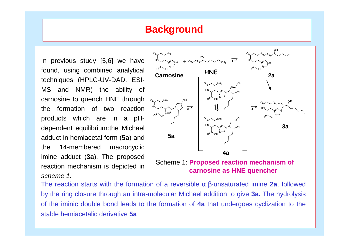## **Background**

In previous study [5,6] we have found, using combined analytical techniques (HPLC-UV-DAD, ESI-MS and NMR) the ability of carnosine to quench HNE through the formation of two reaction products which are in a pHdependent equilibrium:the Michael adduct in hemiacetal form (**5a**) and the 14-membered macrocyclic imine adduct (**3a**). The proposed reaction mechanism is depicted in scheme 1.



#### Scheme 1: **Proposed reaction mechanism of carnosine as HNE quencher**

The reaction starts with the formation of a reversible <sup>α</sup>,β-unsaturated imine **2a**, followed by the ring closure through an intra-molecular Michael addition to give **3a.** The hydrolysis of the iminic double bond leads to the formation of **4a** that undergoes cyclization to the stable hemiacetalic derivative **5a**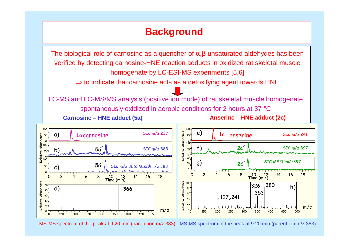# **Background**



MS-MS spectrum of the peak at 9.20 min (parent ion m/z 383) MS-MS spectrum of the peak at 9.20 min (parent ion m/z 383)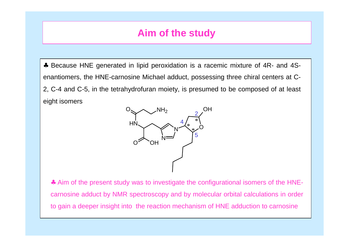# **Aim of the study**

♣ Because HNE generated in lipid peroxidation is a racemic mixture of 4R- and 4Senantiomers, the HNE-carnosine Michael adduct, possessing three chiral centers at C-2, C-4 and C-5, in the tetrahydrofuran moiety, is presumed to be composed of at least eight isomers



♣ Aim of the present study was to investigate the configurational isomers of the HNEcarnosine adduct by NMR spectroscopy and by molecular orbital calculations in order to gain a deeper insight into the reaction mechanism of HNE adduction to carnosine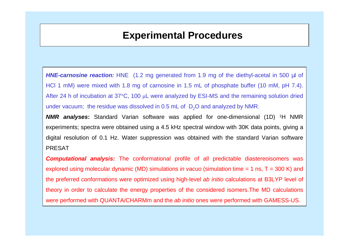## **Experimental Procedures**

**HNE-carnosine reaction:** HNE (1.2 mg generated from 1.9 mg of the diethyl-acetal in 500 µl of HCl 1 mM) were mixed with 1.8 mg of carnosine in 1.5 mL of phosphate buffer (10 mM, pH 7.4). After 24 h of incubation at 37°C, 100 µL were analyzed by ESI-MS and the remaining solution dried under vacuum; the residue was dissolved in 0.5 mL of  $D_2O$  and analyzed by NMR.

**NMR analyses:** Standard Varian software was applied for one-dimensional (1D) 1H NMR experiments; spectra were obtained using a 4.5 kHz spectral window with 30K data points, giving a digital resolution of 0.1 Hz. Water suppression was obtained with the standard Varian software PRESAT

**Computational analysis:** The conformational profile of all predictable diastereoisomers was explored using molecular dynamic (MD) simulations *in vacuo* (simulation time = 1 ns, T = 300 K) and the preferred conformations were optimized using high-level *ab initio* calculations at B3LYP level of theory in order to calculate the energy properties of the considered isomers.The MD calculations were performed with QUANTA/CHARMm and the *ab initio* ones were performed with GAMESS-US.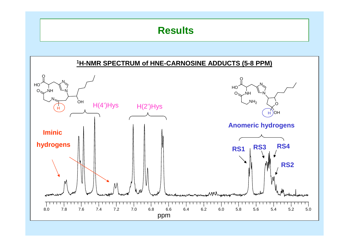## **Results**

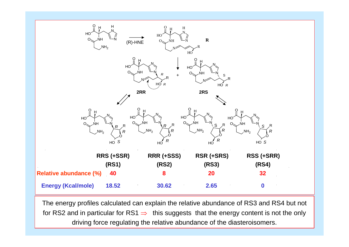

The energy profiles calculated can explain the relative abundance of RS3 and RS4 but not for RS2 and in particular for RS1  $\Rightarrow$  this suggests that the energy content is not the only  $\Rightarrow$  force requising the relative changes of the discrepances driving force regulating the relative abundance of the diasteroisomers.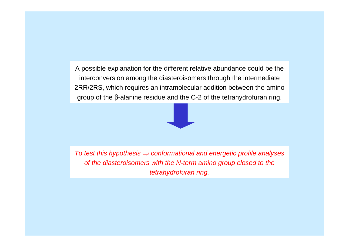A possible explanation for the different relative abundance could be the interconversion among the diasteroisomers through the intermediate 2RR/2RS, which requires an intramolecular addition between the amino group of the β-alanine residue and the C-2 of the tetrahydrofuran ring.



To test this hypothesis  $\Rightarrow$  conformational and energetic profile analyses<br>ef the diestersisemers with the N term emine aroun closed to the of the diasteroisomers with the N-term amino group closed to the tetrahydrofuran ring.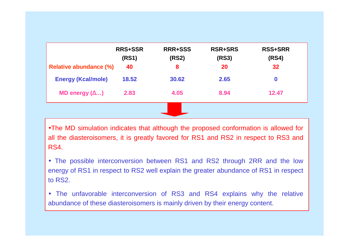|                               | <b>RRS+SSR</b><br>(RS1) | <b>RRR+SSS</b><br>(RS2) | <b>RSR+SRS</b><br>(RS3) | <b>RSS+SRR</b><br>(RS4) |
|-------------------------------|-------------------------|-------------------------|-------------------------|-------------------------|
| <b>Relative abundance (%)</b> | 40                      | 8                       | <b>20</b>               | 32                      |
| <b>Energy (Kcal/mole)</b>     | 18.52                   | 30.62                   | 2.65                    | $\bf{0}$                |
| MD energy $(\Delta)$          | 2.83                    | 4.05                    | 8.94                    | 12.47                   |
|                               |                         |                         |                         |                         |

•The MD simulation indicates that although the proposed conformation is allowed for all the diasteroisomers, it is greatly favored for RS1 and RS2 in respect to RS3 and RS4.

• The possible interconversion between RS1 and RS2 through 2RR and the low energy of RS1 in respect to RS2 well explain the greater abundance of RS1 in respect to RS2.

• The unfavorable interconversion of RS3 and RS4 explains why the relative abundance of these diasteroisomers is mainly driven by their energy content.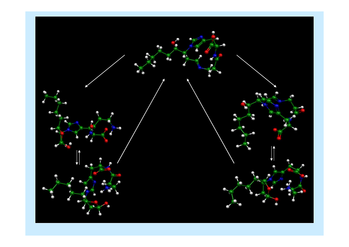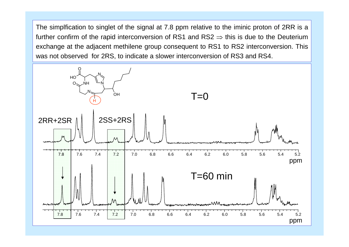The simplfication to singlet of the signal at 7.8 ppm relative to the iminic proton of 2RR is a further confirm of the rapid interconversion of RS1 and RS2 ⇒ this is due to the Deuterium<br>exchange at the adiacent mathilang group consequent to BS4 to BS2 intercenversion. This exchange at the adjacent methilene group consequent to RS1 to RS2 interconversion. This was not observed for 2RS, to indicate a slower interconversion of RS3 and RS4.